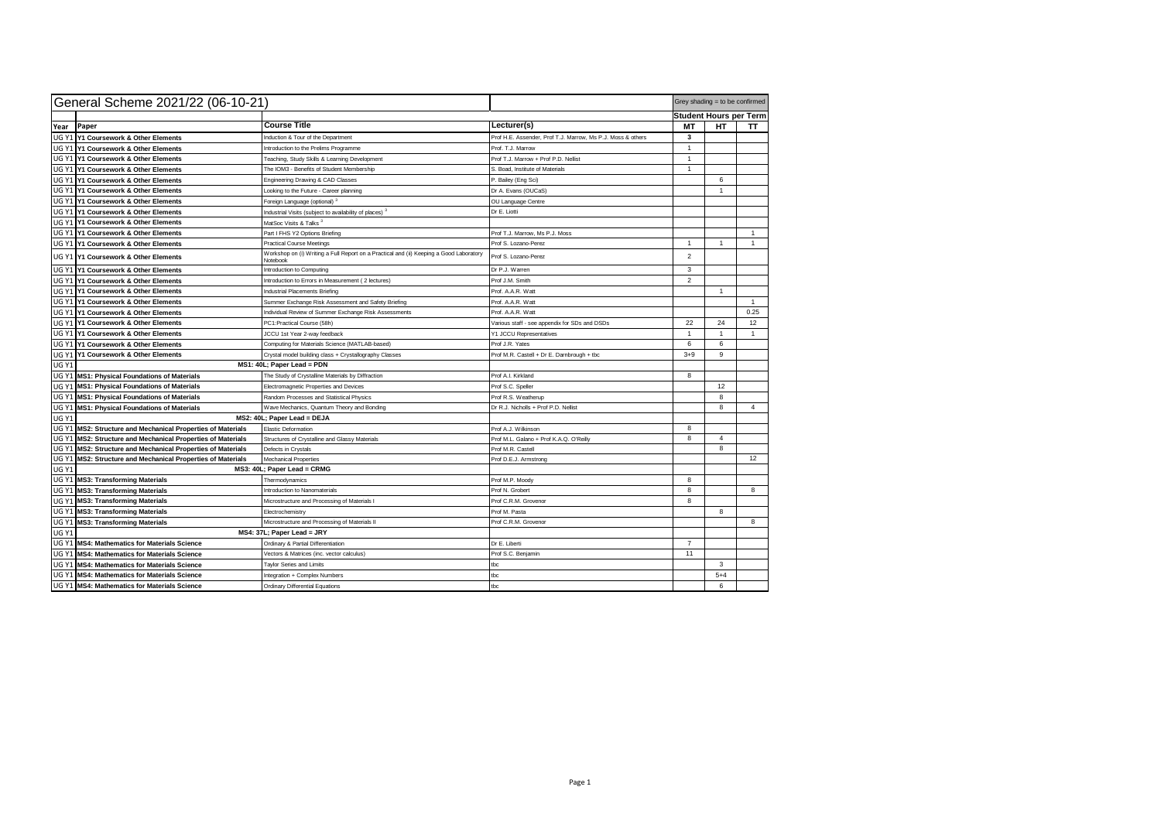|              | General Scheme 2021/22 (06-10-21)                           |                                                                                                            |                                                             | Grey shading = to be confirmed |                                     |                |
|--------------|-------------------------------------------------------------|------------------------------------------------------------------------------------------------------------|-------------------------------------------------------------|--------------------------------|-------------------------------------|----------------|
|              |                                                             |                                                                                                            |                                                             |                                |                                     |                |
|              | Year Paper                                                  | Course Title                                                                                               | Lecturer(s)                                                 | МT                             | <b>Student Hours per Term</b><br>HТ | <b>TT</b>      |
|              | UG Y1 Y1 Coursework & Other Elements                        | Induction & Tour of the Department                                                                         | Prof H.E. Assender, Prof T.J. Marrow, Ms P.J. Moss & others | 3                              |                                     |                |
|              | UG Y1 Y1 Coursework & Other Elements                        | Introduction to the Prelims Programme                                                                      | Prof. T.J. Marrow                                           | $\mathbf{1}$                   |                                     |                |
|              | UG Y1 Y1 Coursework & Other Elements                        | Teaching, Study Skills & Learning Development                                                              | Prof T.J. Marrow + Prof P.D. Nellist                        | $\mathbf{1}$                   |                                     |                |
|              | UG Y1 Y1 Coursework & Other Elements                        | The IOM3 - Benefits of Student Membership                                                                  | S. Boad, Institute of Materials                             | $\mathbf{1}$                   |                                     |                |
|              | UG Y1 Y1 Coursework & Other Elements                        | Engineering Drawing & CAD Classes                                                                          | P. Bailey (Eng Sci)                                         |                                | 6                                   |                |
|              | UG Y1 Y1 Coursework & Other Elements                        | Looking to the Future - Career planning                                                                    | Dr A. Evans (OUCaS)                                         |                                | $\mathbf{1}$                        |                |
| UG Y1        | Y1 Coursework & Other Elements                              | Foreign Language (optional) <sup>3</sup>                                                                   | OU Language Centre                                          |                                |                                     |                |
|              | UG Y1 Y1 Coursework & Other Elements                        | ndustrial Visits (subject to availability of places) <sup>3</sup>                                          | Dr E. Liotti                                                |                                |                                     |                |
|              | UG Y1 Y1 Coursework & Other Elements                        | MatSoc Visits & Talks <sup>3</sup>                                                                         |                                                             |                                |                                     |                |
|              | UG Y1 Y1 Coursework & Other Elements                        | Part I FHS Y2 Options Briefing                                                                             | Prof T.J. Marrow, Ms P.J. Moss                              |                                |                                     | $\overline{1}$ |
|              | UG Y1 Y1 Coursework & Other Elements                        | <b>Practical Course Meetings</b>                                                                           | Prof S. Lozano-Perez                                        | $\mathbf{1}$                   | $\mathbf{1}$                        | $\overline{1}$ |
|              | UG Y1 Y1 Coursework & Other Elements                        | Workshop on (i) Writing a Full Report on a Practical and (ii) Keeping a Good Laboratory<br><b>Notebook</b> | Prof S. Lozano-Perez                                        | $\overline{2}$                 |                                     |                |
|              | UG Y1 Y1 Coursework & Other Elements                        | Introduction to Computing                                                                                  | Dr P.J. Warren                                              | 3                              |                                     |                |
|              | UG Y1 Y1 Coursework & Other Elements                        | Introduction to Errors in Measurement (2 lectures)                                                         | Prof J.M. Smith                                             | $\overline{2}$                 |                                     |                |
|              | UG Y1 Y1 Coursework & Other Elements                        | Industrial Placements Briefing                                                                             | Prof. A.A.R. Watt                                           |                                | $\mathbf{1}$                        |                |
|              | UG Y1 Y1 Coursework & Other Elements                        | Summer Exchange Risk Assessment and Safety Briefing                                                        | Prof. A.A.R. Watt                                           |                                |                                     | $\mathbf{1}$   |
|              | UG Y1 Y1 Coursework & Other Elements                        | ndividual Review of Summer Exchange Risk Assessments                                                       | Prof. A.A.R. Watt                                           |                                |                                     | 0.25           |
|              | UG Y1 Y1 Coursework & Other Elements                        | PC1:Practical Course (58h)                                                                                 | Various staff - see appendix for SDs and DSDs               | 22                             | 24                                  | 12             |
|              | UG Y1 Y1 Coursework & Other Elements                        | JCCU 1st Year 2-way feedback                                                                               | Y1 JCCU Representatives                                     | $\mathbf{1}$                   | $\overline{1}$                      | $\overline{1}$ |
|              | UG Y1 Y1 Coursework & Other Elements                        | Computing for Materials Science (MATLAB-based)                                                             | Prof J.R. Yates                                             | 6                              | 6                                   |                |
| <b>UG Y1</b> | Y1 Coursework & Other Elements                              | Crystal model building class + Crystallography Classes                                                     | Prof M.R. Castell + Dr E. Darnbrough + tbc                  | $3+9$                          | 9                                   |                |
| UG Y1        |                                                             | MS1: 40L; Paper Lead = PDN                                                                                 |                                                             |                                |                                     |                |
|              | UG Y1 MS1: Physical Foundations of Materials                | The Study of Crystalline Materials by Diffraction                                                          | Prof A.I. Kirkland                                          | 8                              |                                     |                |
|              | UG Y1 MS1: Physical Foundations of Materials                | Electromagnetic Properties and Devices                                                                     | Prof S.C. Speller                                           |                                | 12                                  |                |
|              | UG Y1 MS1: Physical Foundations of Materials                | Random Processes and Statistical Physics                                                                   | Prof R.S. Weatherup                                         |                                | 8                                   |                |
|              | UG Y1 MS1: Physical Foundations of Materials                | Wave Mechanics, Quantum Theory and Bonding                                                                 | Dr R.J. Nicholls + Prof P.D. Nellist                        |                                | 8                                   | $\overline{a}$ |
| UG Y1        |                                                             | MS2: 40L: Paper Lead = DEJA                                                                                |                                                             |                                |                                     |                |
|              | UG Y1 MS2: Structure and Mechanical Properties of Materials | Elastic Deformation                                                                                        | Prof A.J. Wilkinson                                         | 8                              |                                     |                |
|              | UG Y1 MS2: Structure and Mechanical Properties of Materials | Structures of Crystalline and Glassy Materials                                                             | Prof M.L. Galano + Prof K.A.Q. O'Reilly                     | 8                              | $\overline{a}$                      |                |
|              | UG Y1 MS2: Structure and Mechanical Properties of Materials | Defects in Crystals                                                                                        | Prof M.R. Castell                                           |                                | 8                                   |                |
| <b>UG Y1</b> | MS2: Structure and Mechanical Properties of Materials       | <b>Mechanical Properties</b>                                                                               | Prof D.E.J. Armstrong                                       |                                |                                     | 12             |
| UG Y1        |                                                             | MS3: 40L; Paper Lead = CRMG                                                                                |                                                             |                                |                                     |                |
|              | UG Y1 MS3: Transforming Materials                           | Thermodynamics                                                                                             | Prof M.P. Moody                                             | 8                              |                                     |                |
|              | UG Y1 MS3: Transforming Materials                           | Introduction to Nanomaterials                                                                              | Prof N. Grobert                                             | 8                              |                                     | 8              |
|              | UG Y1 MS3: Transforming Materials                           | Microstructure and Processing of Materials I                                                               | Prof C.R.M. Grovenor                                        | 8                              |                                     |                |
|              | UG Y1 MS3: Transforming Materials                           | Electrochemistry                                                                                           | Prof M. Pasta                                               |                                | $\mathbf{R}$                        |                |
|              | UG Y1 MS3: Transforming Materials                           | Microstructure and Processing of Materials II                                                              | Prof C.R.M. Grovenor                                        |                                |                                     | 8              |
| UG Y1        |                                                             | MS4: 37L; Paper Lead = JRY                                                                                 |                                                             |                                |                                     |                |
|              | UG Y1 MS4: Mathematics for Materials Science                | Ordinary & Partial Differentiation                                                                         | Dr E. Liberti                                               | $\overline{7}$                 |                                     |                |
|              | UG Y1 IMS4: Mathematics for Materials Science               | Vectors & Matrices (inc. vector calculus)                                                                  | Prof S.C. Benjamin                                          | 11                             |                                     |                |
|              | UG Y1 MS4: Mathematics for Materials Science                | Taylor Series and Limits                                                                                   | thc.                                                        |                                | 3                                   |                |
|              | UG Y1 MS4: Mathematics for Materials Science                | ntegration + Complex Numbers                                                                               | tbc                                                         |                                | $5 + 4$                             |                |
|              | UG Y1 MS4: Mathematics for Materials Science                | Ordinary Differential Equations                                                                            | tbc                                                         |                                | 6                                   |                |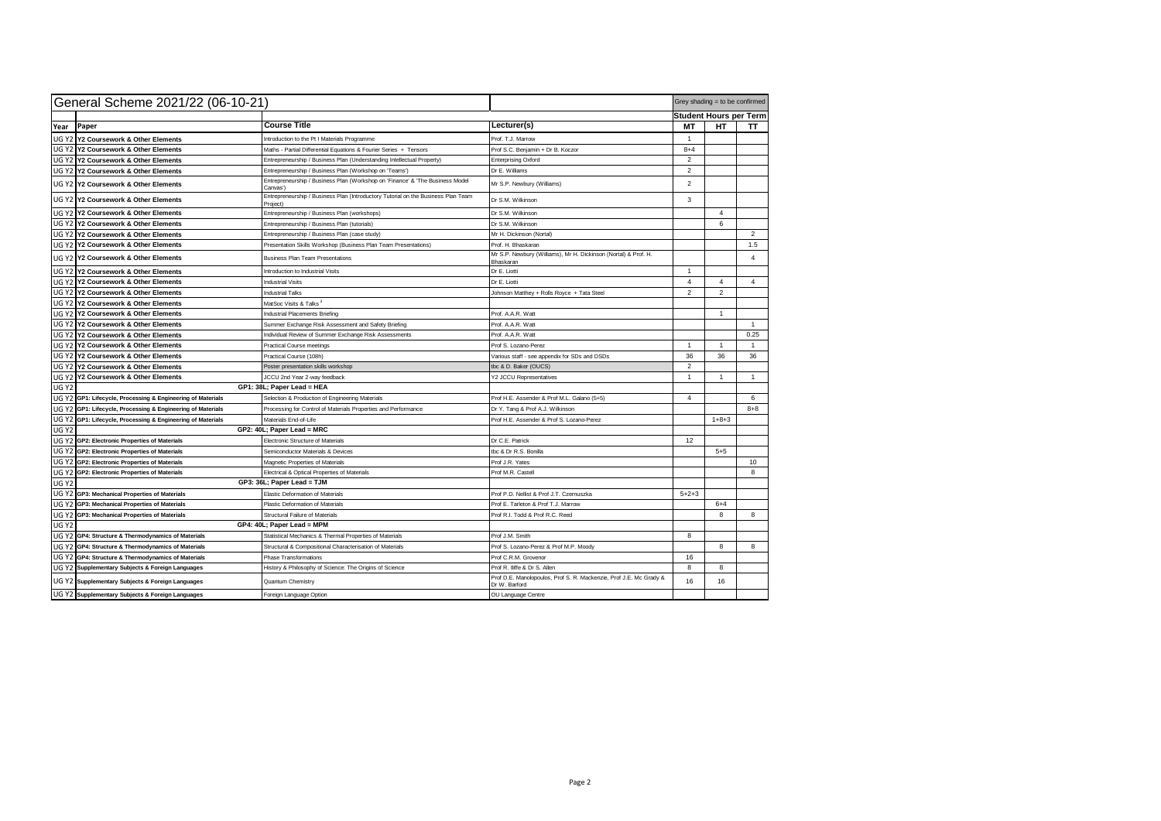|                  | General Scheme 2021/22 (06-10-21)                           |                                                                                               |                                                                                     | Grey shading = to be confirmed |                               |                |  |
|------------------|-------------------------------------------------------------|-----------------------------------------------------------------------------------------------|-------------------------------------------------------------------------------------|--------------------------------|-------------------------------|----------------|--|
|                  |                                                             |                                                                                               |                                                                                     |                                | <b>Student Hours per Term</b> |                |  |
| Year             | Paper                                                       | <b>Course Title</b>                                                                           | Lecturer(s)                                                                         | <b>MT</b>                      | HT                            | ΤТ             |  |
| UG Y2            | Y2 Coursework & Other Elements                              | Introduction to the Pt I Materials Programme                                                  | Prof. T.J. Marrow                                                                   | $\overline{1}$                 |                               |                |  |
| UG Y2            | Y2 Coursework & Other Elements                              | Maths - Partial Differential Equations & Fourier Series + Tensors                             | Prof S.C. Benjamin + Dr B. Koczor                                                   | $8 + 4$                        |                               |                |  |
|                  | UG Y2 Y2 Coursework & Other Elements                        | Entrepreneurship / Business Plan (Understanding Intellectual Property)                        | <b>Enterprising Oxford</b>                                                          | $\overline{2}$                 |                               |                |  |
| UG Y2            | <b>Y2 Coursework &amp; Other Elements</b>                   | Entrepreneurship / Business Plan (Workshop on 'Teams')                                        | Dr E. Williams                                                                      | $\overline{2}$                 |                               |                |  |
| UG Y2            | Y2 Coursework & Other Elements                              | Entrepreneurship / Business Plan (Workshop on 'Finance' & 'The Business Model<br>Canvas')     | Mr S.P. Newbury (Williams)                                                          | 2                              |                               |                |  |
|                  | UG Y2 Y2 Coursework & Other Elements                        | Entrepreneurship / Business Plan (Introductory Tutorial on the Business Plan Team<br>Project) | Dr S.M. Wilkinson                                                                   | 3                              |                               |                |  |
| UG Y2            | Y2 Coursework & Other Elements                              | Entrepreneurship / Business Plan (workshops)                                                  | Dr S.M. Wilkinson                                                                   |                                | $\overline{4}$                |                |  |
| UG Y2            | <b>Y2 Coursework &amp; Other Elements</b>                   | Entrepreneurship / Business Plan (tutorials)                                                  | Dr S.M. Wilkinson                                                                   |                                | 6                             |                |  |
| UG Y2            | <b>Y2 Coursework &amp; Other Elements</b>                   | Entrepreneurship / Business Plan (case study)                                                 | Mr H. Dickinson (Nortal)                                                            |                                |                               | 2              |  |
| UG Y2            | Y2 Coursework & Other Elements                              | Presentation Skills Workshop (Business Plan Team Presentations)                               | Prof. H. Bhaskaran                                                                  |                                |                               | 1.5            |  |
| UG Y2            | <b>Y2 Coursework &amp; Other Elements</b>                   | <b>Business Plan Team Presentations</b>                                                       | Mr S.P. Newbury (Williams), Mr H. Dickinson (Nortal) & Prof. H.<br>Bhaskaran        |                                |                               | $\overline{4}$ |  |
| UG Y2            | Y2 Coursework & Other Elements                              | Introduction to Industrial Visits                                                             | Dr E. Liotti                                                                        | $\overline{1}$                 |                               |                |  |
| UG Y2            | Y2 Coursework & Other Elements                              | <b>Industrial Visits</b>                                                                      | Dr E. Liotti                                                                        | $\overline{4}$                 | $\overline{4}$                | $\overline{4}$ |  |
| JG Y.            | Y2 Coursework & Other Elements                              | <b>Industrial Talks</b>                                                                       | Johnson Matthey + Rolls Royce + Tata Steel                                          | $\overline{2}$                 | $\overline{2}$                |                |  |
| UG Y2            | Y2 Coursework & Other Elements                              | MatSoc Visits & Talks <sup>3</sup>                                                            |                                                                                     |                                |                               |                |  |
| UG Y2            | <b>Y2 Coursework &amp; Other Elements</b>                   | Industrial Placements Briefing                                                                | Prof. A.A.R. Watt                                                                   |                                | $\overline{1}$                |                |  |
| UG Y2            | <b>Y2 Coursework &amp; Other Elements</b>                   | Summer Exchange Risk Assessment and Safety Briefing                                           | Prof. A.A.R. Watt                                                                   |                                |                               | 1              |  |
| UG Y2            | Y2 Coursework & Other Elements                              | Individual Review of Summer Exchange Risk Assessments                                         | Prof. A.A.R. Watt                                                                   |                                |                               | 0.25           |  |
| UG Y2            | Y2 Coursework & Other Elements                              | <b>Practical Course meetings</b>                                                              | Prof S. Lozano-Perez                                                                | $\overline{1}$                 | -1                            | $\mathbf{1}$   |  |
| UG Y2            | <b>Y2 Coursework &amp; Other Elements</b>                   | Practical Course (108h)                                                                       | Various staff - see appendix for SDs and DSDs                                       | 36                             | 36                            | 36             |  |
| UG Y             | Y2 Coursework & Other Elements                              | Poster presentation skills workshop                                                           | tbc & D. Baker (OUCS)                                                               | $\overline{2}$                 |                               |                |  |
| UG Y2            | Y2 Coursework & Other Elements                              | JCCU 2nd Year 2-way feedback                                                                  | <b>Y2 JCCU Representatives</b>                                                      | $\overline{1}$                 | $\overline{1}$                | $\overline{1}$ |  |
| UG Y2            |                                                             | GP1: 38L: Paper Lead = HEA                                                                    |                                                                                     |                                |                               |                |  |
|                  | UG Y2 GP1: Lifecycle, Processing & Engineering of Materials | Selection & Production of Engineering Materials                                               | Prof H.E. Assender & Prof M.L. Galano (5+5)                                         | $\overline{4}$                 |                               | 6              |  |
| UG Y2            | GP1: Lifecycle, Processing & Engineering of Materials       | Processing for Control of Materials Properties and Performance                                | Dr Y. Tang & Prof A.J. Wilkinson                                                    |                                |                               | $8 + 8$        |  |
| UG Y2            | GP1: Lifecycle, Processing & Engineering of Materials       | Materials End-of-Life                                                                         | Prof H.E. Assender & Prof S. Lozano-Perez                                           |                                | $1 + 8 + 3$                   |                |  |
| UG Y2            |                                                             | GP2: 40L; Paper Lead = MRC                                                                    |                                                                                     |                                |                               |                |  |
| UG <sub>Y2</sub> | <b>GP2: Electronic Properties of Materials</b>              | <b>Electronic Structure of Materials</b>                                                      | Dr C.E. Patrick                                                                     | 12                             |                               |                |  |
| UG Y2            | <b>GP2: Electronic Properties of Materials</b>              | Semiconductor Materials & Devices                                                             | tbc & Dr R.S. Bonilla                                                               |                                | $5 + 5$                       |                |  |
| UG Y.            | <b>GP2: Electronic Properties of Materials</b>              | Magnetic Properties of Materials                                                              | Prof J.R. Yates                                                                     |                                |                               | 10             |  |
| UG Y2            | <b>GP2: Electronic Properties of Materials</b>              | Electrical & Optical Properties of Materials                                                  | Prof M.R. Castell                                                                   |                                |                               | 8              |  |
| UG Y2            |                                                             | GP3: 36L; Paper Lead = TJM                                                                    |                                                                                     |                                |                               |                |  |
|                  | UG Y2 GP3: Mechanical Properties of Materials               | Elastic Deformation of Materials                                                              | Prof P.D. Nellist & Prof J.T. Czernuszka                                            | $5 + 2 + 3$                    |                               |                |  |
| UG Y2            | <b>GP3: Mechanical Properties of Materials</b>              | Plastic Deformation of Materials                                                              | Prof E. Tarleton & Prof T.J. Marrow                                                 |                                | $6 + 4$                       |                |  |
| UG Y2            | GP3: Mechanical Properties of Materials                     | Structural Failure of Materials                                                               | Prof R.I. Todd & Prof R.C. Reed                                                     |                                | 8                             | 8              |  |
| UG Y2            |                                                             | GP4: 40L; Paper Lead = MPM                                                                    |                                                                                     |                                |                               |                |  |
|                  | UG Y2 GP4: Structure & Thermodynamics of Materials          | Statistical Mechanics & Thermal Properties of Materials                                       | Prof J.M. Smith                                                                     | 8                              |                               |                |  |
| UG Y2            | GP4: Structure & Thermodynamics of Materials                | Structural & Compositional Characterisation of Materials                                      | Prof S. Lozano-Perez & Prof M.P. Moody                                              |                                | 8                             | 8              |  |
| UG Y             | GP4: Structure & Thermodynamics of Materials                | <b>Phase Transformations</b>                                                                  | Prof C.R.M. Grovenor                                                                | 16                             |                               |                |  |
|                  | UG Y2 Supplementary Subjects & Foreign Languages            | History & Philosophy of Science: The Origins of Science                                       | Prof R. Iliffe & Dr S. Allen                                                        | 8                              | 8                             |                |  |
|                  | UG Y2 Supplementary Subjects & Foreign Languages            | Quantum Chemistry                                                                             | Prof D.E. Manolopoulos, Prof S. R. Mackenzie, Prof J.E. Mc Grady &<br>Dr W. Barford | 16                             | 16                            |                |  |
|                  | UG Y2 Supplementary Subjects & Foreign Languages            | Foreign Language Option                                                                       | OU Language Centre                                                                  |                                |                               |                |  |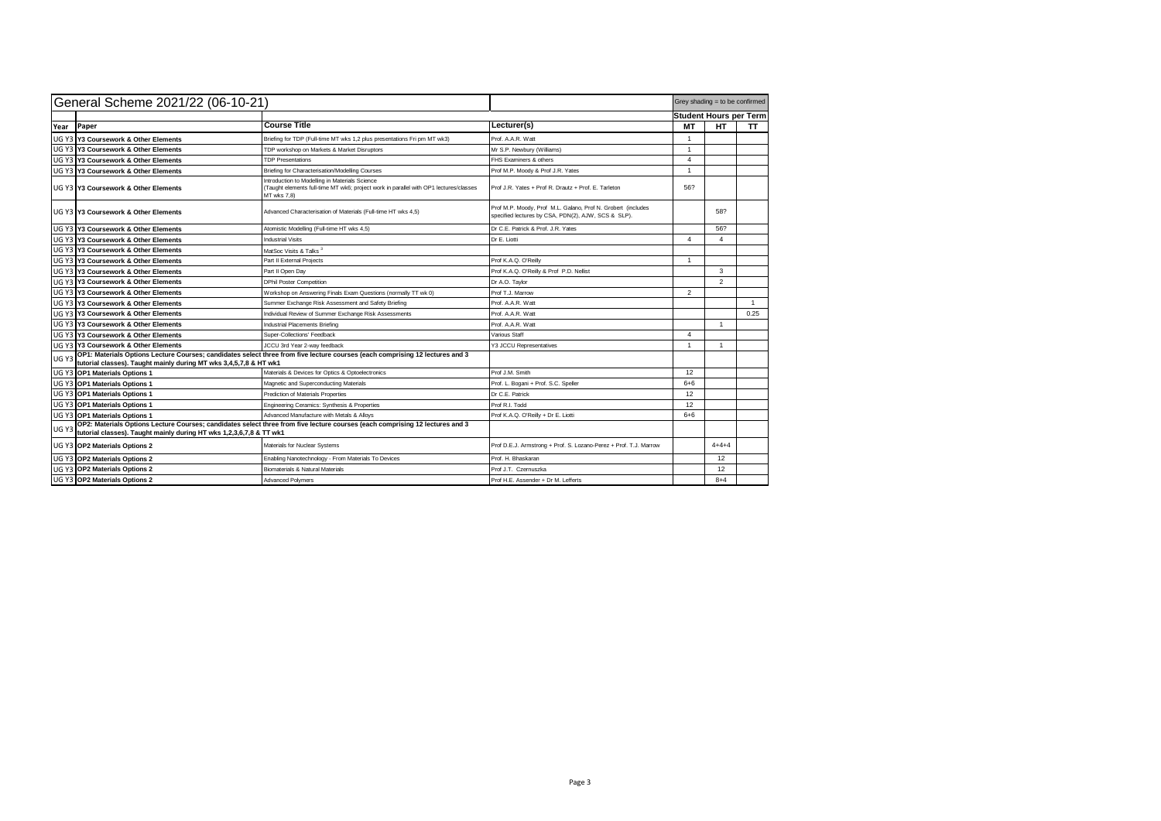|       | General Scheme 2021/22 (06-10-21)                                   |                                                                                                                                                        |                                                                                                                     |                | Grey shading = to be confirmed |                |
|-------|---------------------------------------------------------------------|--------------------------------------------------------------------------------------------------------------------------------------------------------|---------------------------------------------------------------------------------------------------------------------|----------------|--------------------------------|----------------|
|       |                                                                     |                                                                                                                                                        |                                                                                                                     |                | <b>Student Hours per Term</b>  |                |
|       | Year Paper                                                          | <b>Course Title</b>                                                                                                                                    | Lecturer(s)                                                                                                         | MТ             | <b>HT</b>                      | <b>TT</b>      |
|       | UG Y3 Y3 Coursework & Other Elements                                | Briefing for TDP (Full-time MT wks 1,2 plus presentations Fri pm MT wk3)                                                                               | Prof. A.A.R. Watt                                                                                                   | $\overline{1}$ |                                |                |
|       | UG Y3 Y3 Coursework & Other Elements                                | TDP workshop on Markets & Market Disruptors                                                                                                            | Mr S.P. Newbury (Williams)                                                                                          |                |                                |                |
|       | UG Y3 Y3 Coursework & Other Elements                                | <b>TDP Presentations</b>                                                                                                                               | FHS Examiners & others                                                                                              | $\overline{4}$ |                                |                |
|       | UG Y3 Y3 Coursework & Other Elements                                | Briefing for Characterisation/Modelling Courses                                                                                                        | Prof M.P. Moody & Prof J.R. Yates                                                                                   |                |                                |                |
|       | UG Y3 Y3 Coursework & Other Elements                                | Introduction to Modelling in Materials Science<br>(Taught elements full-time MT wk6; project work in parallel with OP1 lectures/classes<br>MT wks 7.8) | Prof J.R. Yates + Prof R. Drautz + Prof. E. Tarleton                                                                | 56?            |                                |                |
|       | UG Y3 Y3 Coursework & Other Elements                                | Advanced Characterisation of Materials (Full-time HT wks 4,5)                                                                                          | Prof M.P. Moody, Prof M.L. Galano, Prof N. Grobert (includes<br>specified lectures by CSA, PDN(2), AJW, SCS & SLP). |                | 58?                            |                |
|       | UG Y3 Y3 Coursework & Other Elements                                | Atomistic Modelling (Full-time HT wks 4,5)                                                                                                             | Dr C.E. Patrick & Prof. J.R. Yates                                                                                  |                | 56?                            |                |
|       | UG Y3 Y3 Coursework & Other Elements                                | <b>Industrial Visits</b>                                                                                                                               | Dr E. Liotti                                                                                                        | $\Delta$       | $\Delta$                       |                |
|       | UG Y3 Y3 Coursework & Other Elements                                | MatSoc Visits & Talks <sup>3</sup>                                                                                                                     |                                                                                                                     |                |                                |                |
|       | UG Y3 Y3 Coursework & Other Elements                                | Part II External Projects                                                                                                                              | Prof K.A.Q. O'Reilly                                                                                                |                |                                |                |
|       | UG Y3 Y3 Coursework & Other Elements                                | Part II Open Dav                                                                                                                                       | Prof K.A.Q. O'Reilly & Prof P.D. Nellist                                                                            |                | 3                              |                |
|       | UG Y3 Y3 Coursework & Other Elements                                | <b>DPhil Poster Competition</b>                                                                                                                        | Dr A.O. Taylor                                                                                                      |                | $\overline{2}$                 |                |
|       | UG Y3 Y3 Coursework & Other Elements                                | Workshop on Answering Finals Exam Questions (normally TT wk 0)                                                                                         | Prof T.J. Marrow                                                                                                    | $\overline{2}$ |                                |                |
|       | UG Y3 Y3 Coursework & Other Elements                                | Summer Exchange Risk Assessment and Safety Briefing                                                                                                    | Prof. A.A.R. Watt                                                                                                   |                |                                | $\overline{1}$ |
|       | UG Y3 Y3 Coursework & Other Elements                                | Individual Review of Summer Exchange Risk Assessments                                                                                                  | Prof. A.A.R. Watt                                                                                                   |                |                                | 0.25           |
|       | UG Y3 Y3 Coursework & Other Elements                                | Industrial Placements Briefing                                                                                                                         | Prof. A.A.R. Watt                                                                                                   |                | $\overline{1}$                 |                |
|       | UG Y3 Y3 Coursework & Other Elements                                | Super-Collections' Feedback                                                                                                                            | Various Staff                                                                                                       | $\overline{a}$ |                                |                |
|       | UG Y3 Y3 Coursework & Other Elements                                | JCCU 3rd Year 2-way feedback                                                                                                                           | Y3 JCCU Representatives                                                                                             |                |                                |                |
| UG Y  | tutorial classes). Taught mainly during MT wks 3,4,5,7,8 & HT wk1   | OP1: Materials Options Lecture Courses; candidates select three from five lecture courses (each comprising 12 lectures and 3                           |                                                                                                                     |                |                                |                |
|       | UG Y3 OP1 Materials Options 1                                       | Aaterials & Devices for Optics & Optoelectronics                                                                                                       | Prof J.M. Smith                                                                                                     | 12             |                                |                |
|       | UG Y3 OP1 Materials Options 1                                       | Magnetic and Superconducting Materials                                                                                                                 | Prof. L. Bogani + Prof. S.C. Speller                                                                                | $6 + 6$        |                                |                |
|       | UG Y3 OP1 Materials Options 1                                       | Prediction of Materials Properties                                                                                                                     | Dr C.E. Patrick                                                                                                     | 12             |                                |                |
|       | UG Y3 OP1 Materials Options 1                                       | Engineering Ceramics: Synthesis & Properties                                                                                                           | Prof R.I. Todd                                                                                                      | 12             |                                |                |
|       | UG Y3 OP1 Materials Options 1                                       | Advanced Manufacture with Metals & Alloys                                                                                                              | Prof K.A.Q. O'Reilly + Dr E. Liotti                                                                                 | $6 + 6$        |                                |                |
| UG Y3 | tutorial classes). Taught mainly during HT wks 1.2.3.6.7.8 & TT wk1 | OP2: Materials Options Lecture Courses; candidates select three from five lecture courses (each comprising 12 lectures and 3                           |                                                                                                                     |                |                                |                |
|       | UG Y3 OP2 Materials Options 2                                       | Materials for Nuclear Systems                                                                                                                          | Prof D.E.J. Armstrong + Prof. S. Lozano-Perez + Prof. T.J. Marrow                                                   |                | $4 + 4 + 4$                    |                |
|       | UG Y3 OP2 Materials Options 2                                       | Enabling Nanotechnology - From Materials To Devices                                                                                                    | Prof. H. Bhaskaran                                                                                                  |                | 12                             |                |
|       | UG Y3 OP2 Materials Options 2                                       | Biomaterials & Natural Materials                                                                                                                       | Prof J.T. Czernuszka                                                                                                |                | 12                             |                |
|       | UG Y3 OP2 Materials Options 2                                       | <b>Advanced Polymers</b>                                                                                                                               | Prof H.E. Assender + Dr M. Lefferts                                                                                 |                | $8 + 4$                        |                |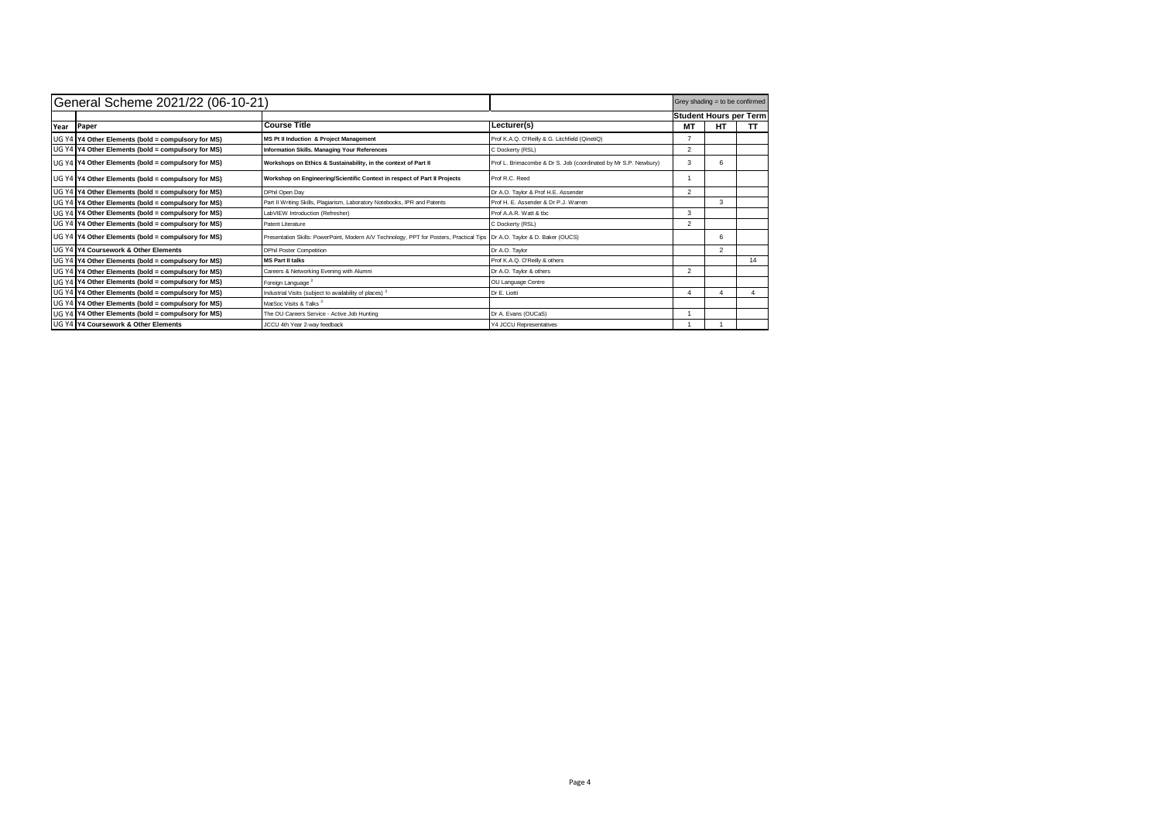|      | General Scheme 2021/22 (06-10-21)                  |                                                                                                                          |                                                                 | Grey shading $=$ to be confirmed |                        |     |  |
|------|----------------------------------------------------|--------------------------------------------------------------------------------------------------------------------------|-----------------------------------------------------------------|----------------------------------|------------------------|-----|--|
|      |                                                    |                                                                                                                          |                                                                 |                                  | Student Hours per Term |     |  |
| Year | Paper                                              | <b>Course Title</b>                                                                                                      | Lecturer(s)                                                     | МT                               | HТ                     | TT. |  |
|      | UG Y4 Y4 Other Elements (bold = compulsory for MS) | MS Pt II Induction & Project Management                                                                                  | Prof K.A.Q. O'Reilly & G. Litchfield (QinetiQ)                  |                                  |                        |     |  |
|      | UG Y4 Y4 Other Elements (bold = compulsory for MS) | Information Skills. Managing Your References                                                                             | C Dockerty (RSL)                                                | $\overline{\phantom{a}}$         |                        |     |  |
|      | UG Y4 Y4 Other Elements (bold = compulsory for MS) | Workshops on Ethics & Sustainability, in the context of Part II                                                          | Prof L. Brimacombe & Dr S. Job (coordinated by Mr S.P. Newbury) | 3                                |                        |     |  |
|      | UG Y4 Y4 Other Elements (bold = compulsory for MS) | Workshop on Engineering/Scientific Context in respect of Part II Projects                                                | Prof R.C. Reed                                                  |                                  |                        |     |  |
|      | UG Y4 Y4 Other Elements (bold = compulsory for MS) | DPhil Open Day                                                                                                           | Dr A.O. Tavlor & Prof H.E. Assender                             | $\overline{2}$                   |                        |     |  |
|      | UG Y4 Y4 Other Elements (bold = compulsory for MS) | Part II Writing Skills, Plagiarism, Laboratory Notebooks, IPR and Patents                                                | Prof H. E. Assender & Dr P.J. Warren                            |                                  | 3                      |     |  |
|      | UG Y4 Y4 Other Elements (bold = compulsory for MS) | LabVIEW Introduction (Refresher)                                                                                         | Prof A.A.R. Watt & tbc                                          | 3                                |                        |     |  |
|      | UG Y4 Y4 Other Elements (bold = compulsory for MS) | Patent Literature                                                                                                        | C Dockerty (RSL)                                                | $\overline{2}$                   |                        |     |  |
|      | UG Y4 Y4 Other Elements (bold = compulsory for MS) | Presentation Skills: PowerPoint, Modern A/V Technology, PPT for Posters, Practical Tips Dr A.O. Taylor & D. Baker (OUCS) |                                                                 |                                  | 6                      |     |  |
|      | UG Y4 Y4 Coursework & Other Elements               | <b>DPhil Poster Competition</b>                                                                                          | Dr A.O. Tavlor                                                  |                                  | $\overline{2}$         |     |  |
|      | UG Y4 Y4 Other Elements (bold = compulsory for MS) | <b>MS Part II talks</b>                                                                                                  | Prof K.A.Q. O'Reilly & others                                   |                                  |                        | 14  |  |
|      | UG Y4 Y4 Other Elements (bold = compulsory for MS) | Careers & Networking Evening with Alumni                                                                                 | Dr A.O. Tavlor & others                                         | $\overline{\phantom{a}}$         |                        |     |  |
|      | UG Y4 Y4 Other Elements (bold = compulsory for MS) | Foreign Language <sup>3</sup>                                                                                            | OU Language Centre                                              |                                  |                        |     |  |
|      | UG Y4 Y4 Other Elements (bold = compulsory for MS) | Industrial Visits (subject to availability of places) <sup>3</sup>                                                       | Dr E. Liotti                                                    |                                  |                        |     |  |
|      | UG Y4 Y4 Other Elements (bold = compulsory for MS) | MatSoc Visits & Talks <sup>3</sup>                                                                                       |                                                                 |                                  |                        |     |  |
|      | UG Y4 Y4 Other Elements (bold = compulsory for MS) | The OU Careers Service - Active Job Hunting                                                                              | Dr A. Evans (OUCaS)                                             |                                  |                        |     |  |
|      | UG Y4 Y4 Coursework & Other Elements               | JCCU 4th Year 2-way feedback                                                                                             | <b>Y4 JCCU Representatives</b>                                  |                                  |                        |     |  |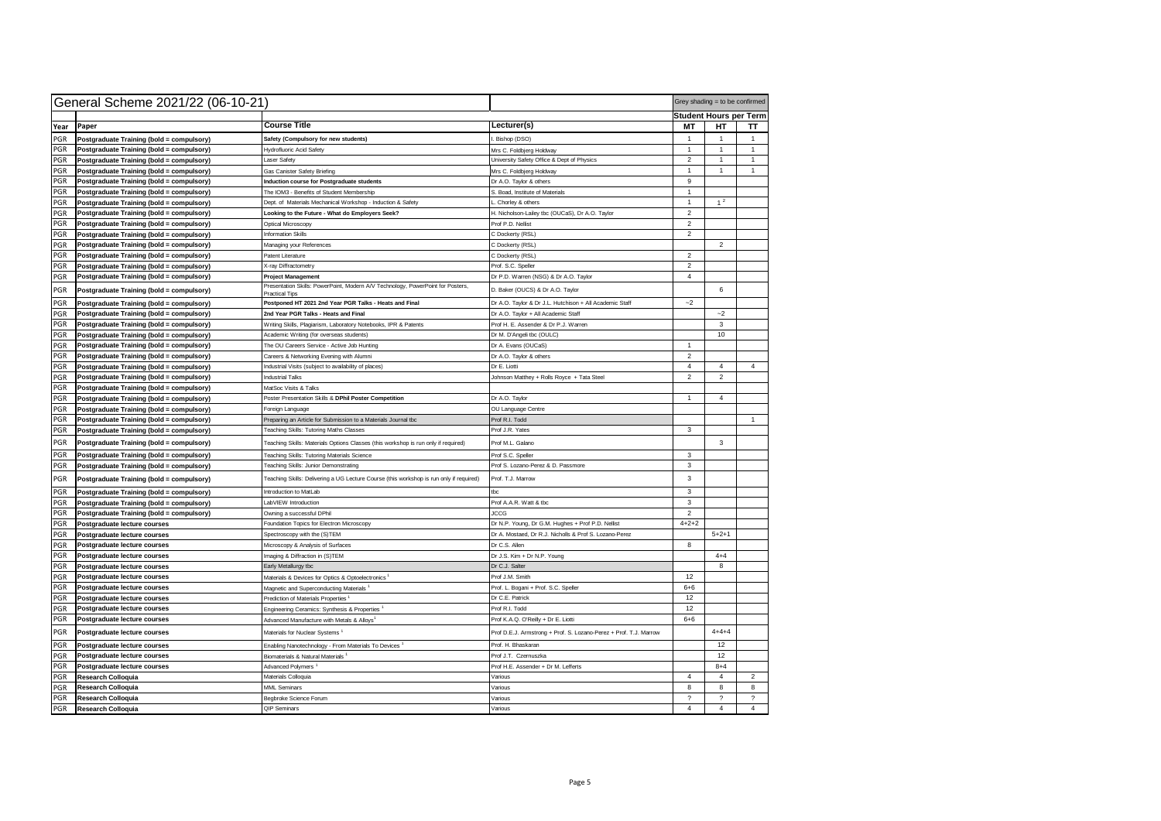|            | General Scheme 2021/22 (06-10-21)         |                                                                                         |                                                                   | Grey shading = to be confirmed<br><b>Student Hours per Term</b> |                          |                |
|------------|-------------------------------------------|-----------------------------------------------------------------------------------------|-------------------------------------------------------------------|-----------------------------------------------------------------|--------------------------|----------------|
|            |                                           | <b>Course Title</b>                                                                     | Lecturer(s)                                                       |                                                                 | HT                       |                |
| Year       | Paper                                     |                                                                                         |                                                                   | MТ                                                              |                          | ΤТ             |
| PGR        | Postgraduate Training (bold = compulsory) | Safety (Compulsory for new students)                                                    | Bishop (DSO)                                                      | $\overline{1}$                                                  | $\overline{1}$           | $\mathbf{1}$   |
| <b>PGR</b> | Postgraduate Training (bold = compulsory) | Hydrofluoric Acid Safety                                                                | Mrs C. Foldbjerg Holdway                                          | $\mathbf{1}$                                                    | $\overline{1}$           | $\mathbf{1}$   |
| PGR        | Postgraduate Training (bold = compulsory) | Laser Safety                                                                            | University Safety Office & Dept of Physics                        | $\overline{2}$                                                  | $\mathbf{1}$             | $\mathbf{1}$   |
| PGR        | Postgraduate Training (bold = compulsory) | Gas Canister Safety Briefing                                                            | Mrs C. Foldbjerg Holdway                                          | 1                                                               | $\overline{1}$           | 1              |
| PGR        | Postgraduate Training (bold = compulsory) | Induction course for Postgraduate students                                              | Dr A.O. Taylor & others                                           | 9                                                               |                          |                |
| PGR        | Postgraduate Training (bold = compulsory) | The IOM3 - Benefits of Student Membership                                               | S. Boad. Institute of Materials                                   | $\mathbf{1}$                                                    |                          |                |
| PGR        | Postgraduate Training (bold = compulsory) | Dept. of Materials Mechanical Workshop - Induction & Safety                             | . Chorley & others                                                | $\mathbf{1}$                                                    | 1 <sup>2</sup>           |                |
| PGR        | Postgraduate Training (bold = compulsory) | Looking to the Future - What do Employers Seek?                                         | 1. Nicholson-Lailey tbc (OUCaS), Dr A.O. Taylor                   | $\overline{2}$                                                  |                          |                |
| PGR        | Postgraduate Training (bold = compulsory) | Optical Microscopy                                                                      | Prof P.D. Nellist                                                 | $\overline{2}$                                                  |                          |                |
| PGR        | Postgraduate Training (bold = compulsory) | nformation Skills                                                                       | C Dockerty (RSL)                                                  | $\overline{2}$                                                  |                          |                |
| PGR        | Postgraduate Training (bold = compulsory) | Managing your References                                                                | C Dockerty (RSL)                                                  |                                                                 | $\overline{2}$           |                |
| PGR        | Postgraduate Training (bold = compulsory) | Patent Literature                                                                       | C Dockerty (RSL)                                                  | 2                                                               |                          |                |
| PGR        | Postgraduate Training (bold = compulsory) | <b>K-ray Diffractometry</b>                                                             | Prof. S.C. Speller                                                | $\overline{2}$                                                  |                          |                |
| PGR        | Postgraduate Training (bold = compulsory) | <b>Project Management</b>                                                               | Dr P.D. Warren (NSG) & Dr A.O. Taylor                             | $\overline{4}$                                                  |                          |                |
| PGR        | Postgraduate Training (bold = compulsory) | Presentation Skills: PowerPoint, Modern A/V Technology, PowerPoint for Posters,         | D. Baker (OUCS) & Dr A.O. Taylor                                  |                                                                 | 6                        |                |
|            |                                           | <b>Practical Tins</b>                                                                   |                                                                   | $-2$                                                            |                          |                |
| PGR        | Postgraduate Training (bold = compulsory) | Postponed HT 2021 2nd Year PGR Talks - Heats and Final                                  | Dr A.O. Taylor & Dr J.L. Hutchison + All Academic Staff           |                                                                 |                          |                |
| PGR        | Postgraduate Training (bold = compulsory) | 2nd Year PGR Talks - Heats and Final                                                    | Dr A.O. Taylor + All Academic Staff                               |                                                                 | -2                       |                |
| PGR        | Postgraduate Training (bold = compulsory) | Writing Skills, Plagiarism, Laboratory Notebooks, IPR & Patents                         | Prof H. E. Assender & Dr P.J. Warren                              |                                                                 | 3                        |                |
| PGR        | Postgraduate Training (bold = compulsory) | Academic Writing (for overseas students)                                                | Dr M. D'Angeli tbc (OULC)                                         |                                                                 | 10                       |                |
| PGR        | Postgraduate Training (bold = compulsory) | The OU Careers Service - Active Job Hunting                                             | Dr A. Evans (OUCaS)                                               | $\overline{1}$                                                  |                          |                |
| PGR        | Postgraduate Training (bold = compulsory) | Careers & Networking Evening with Alumni                                                | Dr A.O. Taylor & others                                           | $\overline{2}$                                                  |                          |                |
| PGR        | Postgraduate Training (bold = compulsory) | ndustrial Visits (subject to availability of places)                                    | Dr E. Liotti                                                      | $\overline{4}$                                                  | $\overline{4}$           | $\mathbf{A}$   |
| PGR        | Postgraduate Training (bold = compulsory) | <b>Industrial Talks</b>                                                                 | Johnson Matthey + Rolls Royce + Tata Steel                        | $\overline{2}$                                                  | $\overline{2}$           |                |
| PGR        | Postgraduate Training (bold = compulsory) | MatSoc Visits & Talks                                                                   |                                                                   |                                                                 |                          |                |
| PGR        | Postgraduate Training (bold = compulsory) | Poster Presentation Skills & DPhil Poster Competition                                   | Dr A.O. Taylor                                                    | $\mathbf{1}$                                                    | $\overline{4}$           |                |
| PGR        | Postgraduate Training (bold = compulsory) | Foreign Language                                                                        | OU Language Centre                                                |                                                                 |                          |                |
| PGR        | Postgraduate Training (bold = compulsory) | Preparing an Article for Submission to a Materials Journal tbc                          | Prof R.I. Todd                                                    |                                                                 |                          | $\overline{1}$ |
| PGR        | Postgraduate Training (bold = compulsory) | Teaching Skills: Tutoring Maths Classes                                                 | Prof J.R. Yates                                                   | 3                                                               |                          |                |
| PGR        | Postgraduate Training (bold = compulsory) | Teaching Skills: Materials Options Classes (this workshop is run only if required)      | Prof M.L. Galano                                                  |                                                                 | 3                        |                |
| PGR        | Postgraduate Training (bold = compulsory) | Teaching Skills: Tutoring Materials Science                                             | Prof S.C. Speller                                                 | 3                                                               |                          |                |
| PGR        | Postgraduate Training (bold = compulsory) | <b>Teaching Skills: Junior Demonstrating</b>                                            | Prof S. Lozano-Perez & D. Passmore                                | $_{\rm 3}$                                                      |                          |                |
|            |                                           |                                                                                         |                                                                   |                                                                 |                          |                |
| PGR        | Postgraduate Training (bold = compulsory) | Teaching Skills: Delivering a UG Lecture Course (this workshop is run only if required) | Prof. T.J. Marrow                                                 | 3                                                               |                          |                |
| PGR        | Postgraduate Training (bold = compulsory) | Introduction to Matl ab                                                                 | the.                                                              | 3                                                               |                          |                |
| PGR        | Postgraduate Training (bold = compulsory) | LabVIEW Introduction                                                                    | Prof A.A.R. Watt & tbc                                            | 3                                                               |                          |                |
| PGR        | Postgraduate Training (bold = compulsory) | Owning a successful DPhil                                                               | <b>JCCG</b>                                                       | $\overline{2}$                                                  |                          |                |
| PGR        | Postgraduate lecture courses              | Foundation Topics for Electron Microscopy                                               | Dr N.P. Young, Dr G.M. Hughes + Prof P.D. Nellist                 | $4 + 2 + 2$                                                     |                          |                |
| PGR        | Postgraduate lecture courses              | Spectroscopy with the (S)TEM                                                            | Dr A. Mostaed, Dr R.J. Nicholls & Prof S. Lozano-Perez            |                                                                 | $5 + 2 + 1$              |                |
| PGR        | Postgraduate lecture courses              | Microscopy & Analysis of Surfaces                                                       | Dr C.S. Allen                                                     | 8                                                               |                          |                |
| PGR        | Postgraduate lecture courses              | Imaging & Diffraction in (S)TEM                                                         | Dr J.S. Kim + Dr N.P. Young                                       |                                                                 | $4 + 4$                  |                |
| PGR        | Postgraduate lecture courses              | Early Metallurgy tbc                                                                    | Dr C.J. Salter                                                    |                                                                 | 8                        |                |
| PGR        | Postgraduate lecture courses              | Materials & Devices for Optics & Optoelectronics                                        | Prof J.M. Smith                                                   | 12                                                              |                          |                |
| PGR        | Postgraduate lecture courses              | Magnetic and Superconducting Materials <sup>1</sup>                                     | Prof. L. Bogani + Prof. S.C. Speller                              | $6 + 6$                                                         |                          |                |
| PGR        | Postgraduate lecture courses              | Prediction of Materials Properties                                                      | Dr C.E. Patrick                                                   | 12                                                              |                          |                |
| PGR        | Postgraduate lecture courses              | Engineering Ceramics: Synthesis & Properties <sup>1</sup>                               | Prof R.I. Todd                                                    | 12                                                              |                          |                |
| PGR        | Postgraduate lecture courses              | Advanced Manufacture with Metals & Alloys <sup>1</sup>                                  | Prof K.A.Q. O'Reilly + Dr E. Liotti                               | $6 + 6$                                                         |                          |                |
| PGR        | Postgraduate lecture courses              | Materials for Nuclear Systems <sup>1</sup>                                              | Prof D.E.J. Armstrong + Prof. S. Lozano-Perez + Prof. T.J. Marrow |                                                                 | $4 + 4 + 4$              |                |
| PGR        | Postgraduate lecture courses              | Enabling Nanotechnology - From Materials To Devices                                     | Prof. H. Bhaskaran                                                |                                                                 | 12                       |                |
| PGR        | Postgraduate lecture courses              | Biomaterials & Natural Materials <sup>1</sup>                                           | Prof J.T. Czernuszka                                              |                                                                 | 12                       |                |
| PGR        | Postgraduate lecture courses              | Advanced Polymers <sup>1</sup>                                                          | Prof H.E. Assender + Dr M. Lefferts                               |                                                                 | $8 + 4$                  |                |
| PGR        | <b>Research Colloquia</b>                 | Materials Colloquia                                                                     | Various                                                           | $\overline{4}$                                                  | $\overline{4}$           | $\overline{2}$ |
| PGR        | <b>Research Colloquia</b>                 | MMI Seminars                                                                            | Various                                                           | 8                                                               | 8                        | 8              |
| PGR        | <b>Research Colloquia</b>                 | Beabroke Science Forum                                                                  | Various                                                           | $\overline{?}$                                                  | $\overline{\phantom{a}}$ | $\overline{?}$ |
|            |                                           |                                                                                         |                                                                   | $\overline{4}$                                                  | $\overline{4}$           | $\overline{4}$ |
| PGR        | <b>Research Colloquia</b>                 | <b>QIP Seminars</b>                                                                     | Various                                                           |                                                                 |                          |                |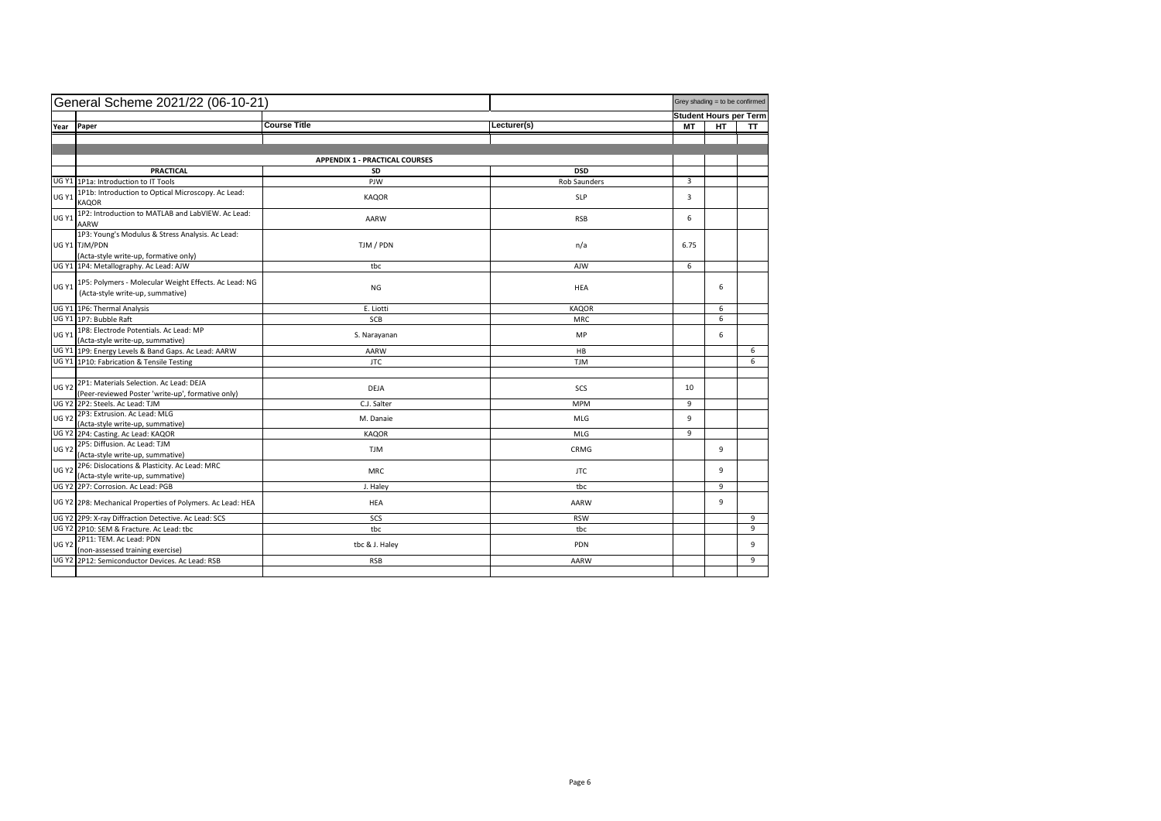|       | General Scheme 2021/22 (06-10-21)                                                                          |                                             |                     | Grey shading = to be confirmed |                               |              |  |
|-------|------------------------------------------------------------------------------------------------------------|---------------------------------------------|---------------------|--------------------------------|-------------------------------|--------------|--|
|       |                                                                                                            | <b>Course Title</b>                         |                     |                                | <b>Student Hours per Term</b> |              |  |
| Year  | Paper                                                                                                      |                                             | Lecturer(s)         | <b>MT</b>                      | <b>HT</b>                     | TT           |  |
|       |                                                                                                            |                                             |                     |                                |                               |              |  |
|       |                                                                                                            |                                             |                     |                                |                               |              |  |
|       | <b>PRACTICAL</b>                                                                                           | <b>APPENDIX 1 - PRACTICAL COURSES</b><br>SD | <b>DSD</b>          |                                |                               |              |  |
|       | UG Y1 1P1a: Introduction to IT Tools                                                                       | PJW                                         | <b>Rob Saunders</b> | 3                              |                               |              |  |
| UG Y1 | 1P1b: Introduction to Optical Microscopy. Ac Lead:<br>KAQOR                                                | KAQOR                                       | <b>SLP</b>          | 3                              |                               |              |  |
| UG Y1 | 1P2: Introduction to MATLAB and LabVIEW. Ac Lead:<br>AARW                                                  | AARW                                        | <b>RSB</b>          | 6                              |                               |              |  |
|       | 1P3: Young's Modulus & Stress Analysis. Ac Lead:<br>UG Y1 TJM/PDN<br>(Acta-style write-up, formative only) | TJM / PDN                                   | n/a                 | 6.75                           |                               |              |  |
|       | UG Y1 1P4: Metallography. Ac Lead: AJW                                                                     | tbc                                         | <b>AJW</b>          | 6                              |                               |              |  |
| UG Y1 | 1P5: Polymers - Molecular Weight Effects. Ac Lead: NG<br>(Acta-style write-up, summative)                  | ΝG                                          | <b>HEA</b>          |                                | 6                             |              |  |
|       | UG Y1 1P6: Thermal Analysis                                                                                | E. Liotti                                   | <b>KAQOR</b>        |                                | 6                             |              |  |
|       | UG Y1 1P7: Bubble Raft                                                                                     | SCB                                         | <b>MRC</b>          |                                | 6                             |              |  |
| UG Y1 | 1P8: Electrode Potentials. Ac Lead: MP<br>(Acta-style write-up, summative)                                 | S. Narayanan                                | MP                  |                                | 6                             |              |  |
|       | UG Y1 1P9: Energy Levels & Band Gaps. Ac Lead: AARW                                                        | AARW                                        | HB                  |                                |                               | 6            |  |
|       | UG Y1 1P10: Fabrication & Tensile Testing                                                                  | <b>JTC</b>                                  | <b>TJM</b>          |                                |                               | 6            |  |
| UG Y2 | 2P1: Materials Selection. Ac Lead: DEJA<br>(Peer-reviewed Poster 'write-up', formative only)               | <b>DEJA</b>                                 | SCS                 | 10                             |                               |              |  |
|       | UG Y2 2P2: Steels. Ac Lead: TJM                                                                            | C.J. Salter                                 | <b>MPM</b>          | 9                              |                               |              |  |
| UG Y2 | 2P3: Extrusion. Ac Lead: MLG<br>(Acta-style write-up, summative)                                           | M. Danaie                                   | MLG                 | 9                              |                               |              |  |
|       | UG Y2 2P4: Casting. Ac Lead: KAQOR                                                                         | KAQOR                                       | <b>MLG</b>          | 9                              |                               |              |  |
| UG Y2 | 2P5: Diffusion. Ac Lead: TJM<br>(Acta-style write-up, summative)                                           | <b>TJM</b>                                  | CRMG                |                                | 9                             |              |  |
| UG Y2 | 2P6: Dislocations & Plasticity. Ac Lead: MRC<br>(Acta-style write-up, summative)                           | <b>MRC</b>                                  | <b>JTC</b>          |                                | 9                             |              |  |
|       | UG Y2 2P7: Corrosion, Ac Lead: PGB                                                                         | J. Haley                                    | tbc                 |                                | 9                             |              |  |
|       | UG Y2 2P8: Mechanical Properties of Polymers. Ac Lead: HEA                                                 | <b>HEA</b>                                  | AARW                |                                | 9                             |              |  |
|       | UG Y2 2P9: X-ray Diffraction Detective. Ac Lead: SCS                                                       | SCS                                         | <b>RSW</b>          |                                |                               | 9            |  |
|       | UG Y2 2P10: SEM & Fracture. Ac Lead: tbc                                                                   | tbc                                         | tbc                 |                                |                               | $\mathbf{q}$ |  |
| UG Y2 | 2P11: TEM. Ac Lead: PDN<br>(non-assessed training exercise)                                                | tbc & J. Haley                              | PDN                 |                                |                               | 9            |  |
|       | UG Y2 2P12: Semiconductor Devices. Ac Lead: RSB                                                            | <b>RSB</b>                                  | AARW                |                                |                               | 9            |  |